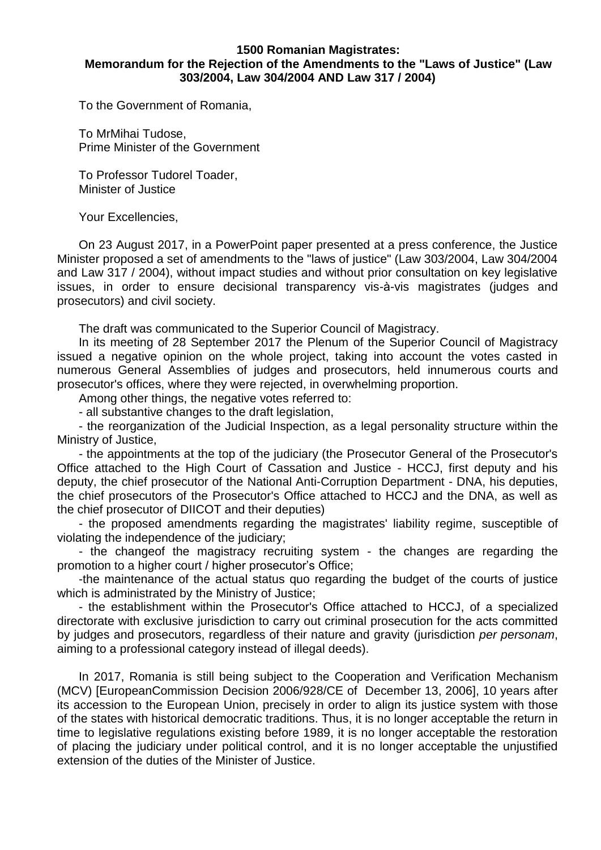## **1500 Romanian Magistrates: Memorandum for the Rejection of the Amendments to the "Laws of Justice" (Law 303/2004, Law 304/2004 AND Law 317 / 2004)**

To the Government of Romania,

To MrMihai Tudose, Prime Minister of the Government

To Professor Tudorel Toader, Minister of Justice

Your Excellencies,

On 23 August 2017, in a PowerPoint paper presented at a press conference, the Justice Minister proposed a set of amendments to the "laws of justice" (Law 303/2004, Law 304/2004 and Law 317 / 2004), without impact studies and without prior consultation on key legislative issues, in order to ensure decisional transparency vis-à-vis magistrates (judges and prosecutors) and civil society.

The draft was communicated to the Superior Council of Magistracy.

In its meeting of 28 September 2017 the Plenum of the Superior Council of Magistracy issued a negative opinion on the whole project, taking into account the votes casted in numerous General Assemblies of judges and prosecutors, held innumerous courts and prosecutor's offices, where they were rejected, in overwhelming proportion.

Among other things, the negative votes referred to:

- all substantive changes to the draft legislation,

- the reorganization of the Judicial Inspection, as a legal personality structure within the Ministry of Justice,

- the appointments at the top of the judiciary (the Prosecutor General of the Prosecutor's Office attached to the High Court of Cassation and Justice - HCCJ, first deputy and his deputy, the chief prosecutor of the National Anti-Corruption Department - DNA, his deputies, the chief prosecutors of the Prosecutor's Office attached to HCCJ and the DNA, as well as the chief prosecutor of DIICOT and their deputies)

- the proposed amendments regarding the magistrates' liability regime, susceptible of violating the independence of the judiciary;

- the changeof the magistracy recruiting system - the changes are regarding the promotion to a higher court / higher prosecutor's Office;

-the maintenance of the actual status quo regarding the budget of the courts of justice which is administrated by the Ministry of Justice;

- the establishment within the Prosecutor's Office attached to HCCJ, of a specialized directorate with exclusive jurisdiction to carry out criminal prosecution for the acts committed by judges and prosecutors, regardless of their nature and gravity (jurisdiction *per personam*, aiming to a professional category instead of illegal deeds).

In 2017, Romania is still being subject to the Cooperation and Verification Mechanism (MCV) [EuropeanCommission Decision 2006/928/CE of December 13, 2006], 10 years after its accession to the European Union, precisely in order to align its justice system with those of the states with historical democratic traditions. Thus, it is no longer acceptable the return in time to legislative regulations existing before 1989, it is no longer acceptable the restoration of placing the judiciary under political control, and it is no longer acceptable the unjustified extension of the duties of the Minister of Justice.